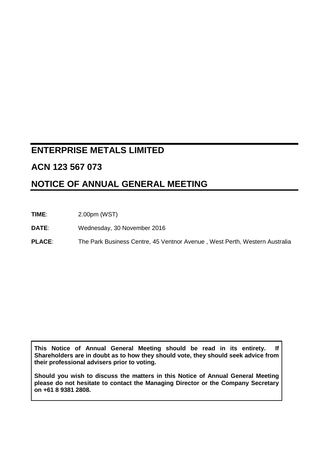# **ENTERPRISE METALS LIMITED**

# **ACN 123 567 073**

# **NOTICE OF ANNUAL GENERAL MEETING**

**TIME**: 2.00pm (WST)

**DATE**: Wednesday, 30 November 2016

**PLACE**: The Park Business Centre, 45 Ventnor Avenue , West Perth, Western Australia

**This Notice of Annual General Meeting should be read in its entirety. If Shareholders are in doubt as to how they should vote, they should seek advice from their professional advisers prior to voting.**

**Should you wish to discuss the matters in this Notice of Annual General Meeting please do not hesitate to contact the Managing Director or the Company Secretary on +61 8 9381 2808.**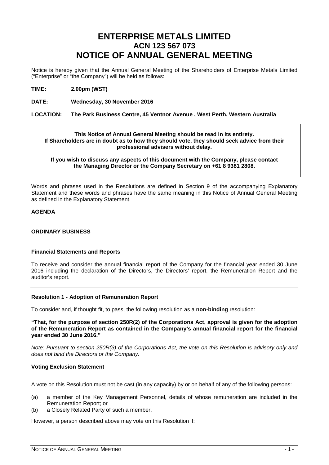# **ENTERPRISE METALS LIMITED ACN 123 567 073 NOTICE OF ANNUAL GENERAL MEETING**

Notice is hereby given that the Annual General Meeting of the Shareholders of Enterprise Metals Limited ("Enterprise" or "the Company") will be held as follows:

**TIME: 2.00pm (WST)**

**DATE: Wednesday, 30 November 2016**

#### **LOCATION: The Park Business Centre, 45 Ventnor Avenue , West Perth, Western Australia**

**This Notice of Annual General Meeting should be read in its entirety. If Shareholders are in doubt as to how they should vote, they should seek advice from their professional advisers without delay.**

**If you wish to discuss any aspects of this document with the Company, please contact the Managing Director or the Company Secretary on +61 8 9381 2808.**

Words and phrases used in the Resolutions are defined in Section 9 of the accompanying Explanatory Statement and these words and phrases have the same meaning in this Notice of Annual General Meeting as defined in the Explanatory Statement.

#### **AGENDA**

#### **ORDINARY BUSINESS**

#### **Financial Statements and Reports**

To receive and consider the annual financial report of the Company for the financial year ended 30 June 2016 including the declaration of the Directors, the Directors' report, the Remuneration Report and the auditor's report.

## **Resolution 1 - Adoption of Remuneration Report**

To consider and, if thought fit, to pass, the following resolution as a **non-binding** resolution:

**"That, for the purpose of section 250R(2) of the Corporations Act, approval is given for the adoption of the Remuneration Report as contained in the Company's annual financial report for the financial year ended 30 June 2016."**

*Note: Pursuant to section 250R(3) of the Corporations Act, the vote on this Resolution is advisory only and does not bind the Directors or the Company.*

## **Voting Exclusion Statement**

A vote on this Resolution must not be cast (in any capacity) by or on behalf of any of the following persons:

- (a) a member of the Key Management Personnel, details of whose remuneration are included in the Remuneration Report; or
- (b) a Closely Related Party of such a member.

However, a person described above may vote on this Resolution if: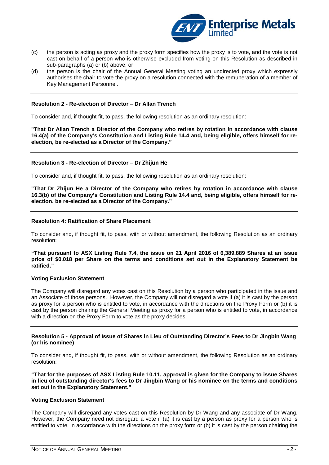

- (c) the person is acting as proxy and the proxy form specifies how the proxy is to vote, and the vote is not cast on behalf of a person who is otherwise excluded from voting on this Resolution as described in sub-paragraphs (a) or (b) above; or
- (d) the person is the chair of the Annual General Meeting voting an undirected proxy which expressly authorises the chair to vote the proxy on a resolution connected with the remuneration of a member of Key Management Personnel.

#### **Resolution 2 - Re-election of Director – Dr Allan Trench**

To consider and, if thought fit, to pass, the following resolution as an ordinary resolution:

**"That Dr Allan Trench a Director of the Company who retires by rotation in accordance with clause 16.4(a) of the Company's Constitution and Listing Rule 14.4 and, being eligible, offers himself for reelection, be re-elected as a Director of the Company."**

#### **Resolution 3 - Re-election of Director – Dr Zhijun He**

To consider and, if thought fit, to pass, the following resolution as an ordinary resolution:

**"That Dr Zhijun He a Director of the Company who retires by rotation in accordance with clause 16.3(b) of the Company's Constitution and Listing Rule 14.4 and, being eligible, offers himself for reelection, be re-elected as a Director of the Company."**

#### **Resolution 4: Ratification of Share Placement**

To consider and, if thought fit, to pass, with or without amendment, the following Resolution as an ordinary resolution:

**"That pursuant to ASX Listing Rule 7.4, the issue on 21 April 2016 of 6,389,889 Shares at an issue price of \$0.018 per Share on the terms and conditions set out in the Explanatory Statement be ratified."**

#### **Voting Exclusion Statement**

The Company will disregard any votes cast on this Resolution by a person who participated in the issue and an Associate of those persons.However, the Company will not disregard a vote if (a) it is cast by the person as proxy for a person who is entitled to vote, in accordance with the directions on the Proxy Form or (b) it is cast by the person chairing the General Meeting as proxy for a person who is entitled to vote, in accordance with a direction on the Proxy Form to vote as the proxy decides.

#### **Resolution 5 - Approval of Issue of Shares in Lieu of Outstanding Director's Fees to Dr Jingbin Wang (or his nominee)**

To consider and, if thought fit, to pass, with or without amendment, the following Resolution as an ordinary resolution:

**"That for the purposes of ASX Listing Rule 10.11, approval is given for the Company to issue Shares in lieu of outstanding director's fees to Dr Jingbin Wang or his nominee on the terms and conditions set out in the Explanatory Statement."**

#### **Voting Exclusion Statement**

The Company will disregard any votes cast on this Resolution by Dr Wang and any associate of Dr Wang. However, the Company need not disregard a vote if (a) it is cast by a person as proxy for a person who is entitled to vote, in accordance with the directions on the proxy form or (b) it is cast by the person chairing the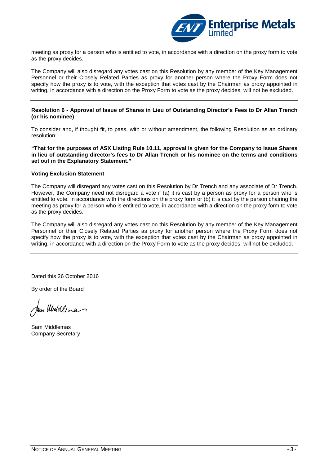

meeting as proxy for a person who is entitled to vote, in accordance with a direction on the proxy form to vote as the proxy decides.

The Company will also disregard any votes cast on this Resolution by any member of the Key Management Personnel or their Closely Related Parties as proxy for another person where the Proxy Form does not specify how the proxy is to vote, with the exception that votes cast by the Chairman as proxy appointed in writing, in accordance with a direction on the Proxy Form to vote as the proxy decides, will not be excluded.

#### **Resolution 6 - Approval of Issue of Shares in Lieu of Outstanding Director's Fees to Dr Allan Trench (or his nominee)**

To consider and, if thought fit, to pass, with or without amendment, the following Resolution as an ordinary resolution:

**"That for the purposes of ASX Listing Rule 10.11, approval is given for the Company to issue Shares in lieu of outstanding director's fees to Dr Allan Trench or his nominee on the terms and conditions set out in the Explanatory Statement."**

#### **Voting Exclusion Statement**

The Company will disregard any votes cast on this Resolution by Dr Trench and any associate of Dr Trench. However, the Company need not disregard a vote if (a) it is cast by a person as proxy for a person who is entitled to vote, in accordance with the directions on the proxy form or (b) it is cast by the person chairing the meeting as proxy for a person who is entitled to vote, in accordance with a direction on the proxy form to vote as the proxy decides.

The Company will also disregard any votes cast on this Resolution by any member of the Key Management Personnel or their Closely Related Parties as proxy for another person where the Proxy Form does not specify how the proxy is to vote, with the exception that votes cast by the Chairman as proxy appointed in writing, in accordance with a direction on the Proxy Form to vote as the proxy decides, will not be excluded.

Dated this 26 October 2016

By order of the Board

un Middlena

Sam Middlemas Company Secretary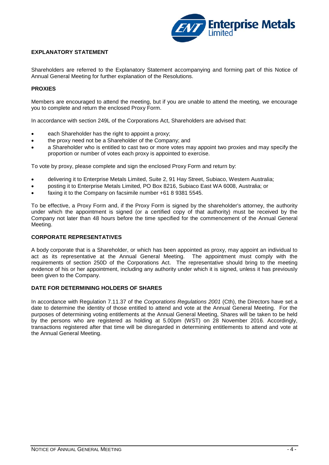

## **EXPLANATORY STATEMENT**

Shareholders are referred to the Explanatory Statement accompanying and forming part of this Notice of Annual General Meeting for further explanation of the Resolutions.

## **PROXIES**

Members are encouraged to attend the meeting, but if you are unable to attend the meeting, we encourage you to complete and return the enclosed Proxy Form.

In accordance with section 249L of the Corporations Act, Shareholders are advised that:

- each Shareholder has the right to appoint a proxy;
- the proxy need not be a Shareholder of the Company; and
- a Shareholder who is entitled to cast two or more votes may appoint two proxies and may specify the proportion or number of votes each proxy is appointed to exercise.

To vote by proxy, please complete and sign the enclosed Proxy Form and return by:

- delivering it to Enterprise Metals Limited, Suite 2, 91 Hay Street, Subiaco, Western Australia;
- posting it to Enterprise Metals Limited, PO Box 8216, Subiaco East WA 6008, Australia; or
- faxing it to the Company on facsimile number +61 8 9381 5545.

To be effective, a Proxy Form and, if the Proxy Form is signed by the shareholder's attorney, the authority under which the appointment is signed (or a certified copy of that authority) must be received by the Company not later than 48 hours before the time specified for the commencement of the Annual General Meeting.

#### **CORPORATE REPRESENTATIVES**

A body corporate that is a Shareholder, or which has been appointed as proxy, may appoint an individual to act as its representative at the Annual General Meeting. The appointment must comply with the requirements of section 250D of the Corporations Act. The representative should bring to the meeting evidence of his or her appointment, including any authority under which it is signed, unless it has previously been given to the Company.

# **DATE FOR DETERMINING HOLDERS OF SHARES**

In accordance with Regulation 7.11.37 of the *Corporations Regulations 2001* (Cth), the Directors have set a date to determine the identity of those entitled to attend and vote at the Annual General Meeting. For the purposes of determining voting entitlements at the Annual General Meeting, Shares will be taken to be held by the persons who are registered as holding at 5.00pm (WST) on 28 November 2016. Accordingly, transactions registered after that time will be disregarded in determining entitlements to attend and vote at the Annual General Meeting.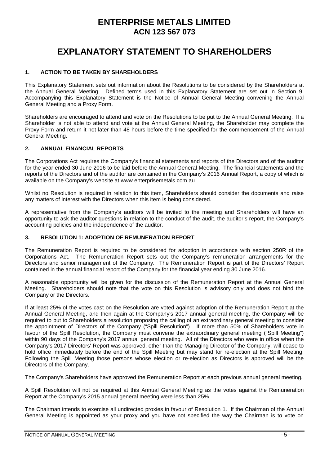# **ENTERPRISE METALS LIMITED ACN 123 567 073**

# **EXPLANATORY STATEMENT TO SHAREHOLDERS**

## **1. ACTION TO BE TAKEN BY SHAREHOLDERS**

This Explanatory Statement sets out information about the Resolutions to be considered by the Shareholders at the Annual General Meeting. Defined terms used in this Explanatory Statement are set out in Section 9. Accompanying this Explanatory Statement is the Notice of Annual General Meeting convening the Annual General Meeting and a Proxy Form.

Shareholders are encouraged to attend and vote on the Resolutions to be put to the Annual General Meeting. If a Shareholder is not able to attend and vote at the Annual General Meeting, the Shareholder may complete the Proxy Form and return it not later than 48 hours before the time specified for the commencement of the Annual General Meeting.

## **2. ANNUAL FINANCIAL REPORTS**

The Corporations Act requires the Company's financial statements and reports of the Directors and of the auditor for the year ended 30 June 2016 to be laid before the Annual General Meeting. The financial statements and the reports of the Directors and of the auditor are contained in the Company's 2016 Annual Report, a copy of which is available on the Company's website at www.enterprisemetals.com.au.

Whilst no Resolution is required in relation to this item, Shareholders should consider the documents and raise any matters of interest with the Directors when this item is being considered.

A representative from the Company's auditors will be invited to the meeting and Shareholders will have an opportunity to ask the auditor questions in relation to the conduct of the audit, the auditor's report, the Company's accounting policies and the independence of the auditor.

## **3. RESOLUTION 1: ADOPTION OF REMUNERATION REPORT**

The Remuneration Report is required to be considered for adoption in accordance with section 250R of the Corporations Act. The Remuneration Report sets out the Company's remuneration arrangements for the Directors and senior management of the Company. The Remuneration Report is part of the Directors' Report contained in the annual financial report of the Company for the financial year ending 30 June 2016.

A reasonable opportunity will be given for the discussion of the Remuneration Report at the Annual General Meeting. Shareholders should note that the vote on this Resolution is advisory only and does not bind the Company or the Directors.

If at least 25% of the votes cast on the Resolution are voted against adoption of the Remuneration Report at the Annual General Meeting, and then again at the Company's 2017 annual general meeting, the Company will be required to put to Shareholders a resolution proposing the calling of an extraordinary general meeting to consider the appointment of Directors of the Company ("Spill Resolution"). If more than 50% of Shareholders vote in favour of the Spill Resolution, the Company must convene the extraordinary general meeting ("Spill Meeting") within 90 days of the Company's 2017 annual general meeting. All of the Directors who were in office when the Company's 2017 Directors' Report was approved, other than the Managing Director of the Company, will cease to hold office immediately before the end of the Spill Meeting but may stand for re-election at the Spill Meeting. Following the Spill Meeting those persons whose election or re-election as Directors is approved will be the Directors of the Company.

The Company's Shareholders have approved the Remuneration Report at each previous annual general meeting.

A Spill Resolution will not be required at this Annual General Meeting as the votes against the Remuneration Report at the Company's 2015 annual general meeting were less than 25%.

The Chairman intends to exercise all undirected proxies in favour of Resolution 1. If the Chairman of the Annual General Meeting is appointed as your proxy and you have not specified the way the Chairman is to vote on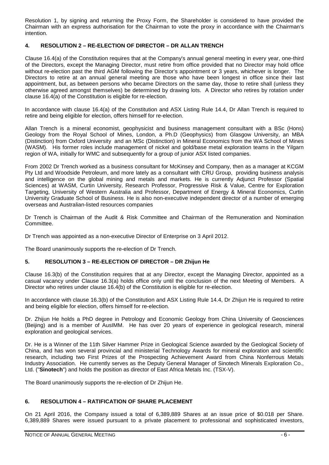Resolution 1, by signing and returning the Proxy Form, the Shareholder is considered to have provided the Chairman with an express authorisation for the Chairman to vote the proxy in accordance with the Chairman's intention.

# **4. RESOLUTION 2 – RE-ELECTION OF DIRECTOR – DR ALLAN TRENCH**

Clause 16.4(a) of the Constitution requires that at the Company's annual general meeting in every year, one-third of the Directors, except the Managing Director, must retire from office provided that no Director may hold office without re-election past the third AGM following the Director's appointment or 3 years, whichever is longer. The Directors to retire at an annual general meeting are those who have been longest in office since their last appointment, but, as between persons who became Directors on the same day, those to retire shall (unless they otherwise agreed amongst themselves) be determined by drawing lots. A Director who retires by rotation under clause 16.4(a) of the Constitution is eligible for re-election.

In accordance with clause 16.4(a) of the Constitution and ASX Listing Rule 14.4, Dr Allan Trench is required to retire and being eligible for election, offers himself for re-election.

Allan Trench is a mineral economist, geophysicist and business management consultant with a BSc (Hons) Geology from the Royal School of Mines, London, a Ph.D (Geophysics) from Glasgow University, an MBA (Distinction) from Oxford University and an MSc (Distinction) in Mineral Economics from the WA School of Mines (WASM). His former roles include management of nickel and gold/base metal exploration teams in the Yilgarn region of WA, initially for WMC and subsequently for a group of junior ASX listed companies.

From 2002 Dr Trench worked as a business consultant for McKinsey and Company, then as a manager at KCGM Pty Ltd and Woodside Petroleum, and more lately as a consultant with CRU Group, providing business analysis and intelligence on the global mining and metals and markets. He is currently Adjunct Professor (Spatial Sciences) at WASM, Curtin University, Research Professor, Progressive Risk & Value, Centre for Exploration Targeting, University of Western Australia and Professor, Department of Energy & Mineral Economics, Curtin University Graduate School of Business. He is also non-executive independent director of a number of emerging overseas and Australian-listed resources companies

Dr Trench is Chairman of the Audit & Risk Committee and Chairman of the Remuneration and Nomination Committee.

Dr Trench was appointed as a non-executive Director of Enterprise on 3 April 2012.

The Board unanimously supports the re-election of Dr Trench.

## **5. RESOLUTION 3 – RE-ELECTION OF DIRECTOR – DR Zhijun He**

Clause 16.3(b) of the Constitution requires that at any Director, except the Managing Director, appointed as a casual vacancy under Clause 16.3(a) holds office only until the conclusion of the next Meeting of Members. A Director who retires under clause 16.4(b) of the Constitution is eligible for re-election.

In accordance with clause 16.3(b) of the Constitution and ASX Listing Rule 14.4, Dr Zhijun He is required to retire and being eligible for election, offers himself for re-election.

Dr. Zhijun He holds a PhD degree in Petrology and Economic Geology from China University of Geosciences (Beijing) and is a member of AusIMM. He has over 20 years of experience in geological research, mineral exploration and geological services.

Dr. He is a Winner of the 11th Silver Hammer Prize in Geological Science awarded by the Geological Society of China, and has won several provincial and ministerial Technology Awards for mineral exploration and scientific research, including two First Prizes of the Prospecting Achievement Award from China Nonferrous Metals Industry Association. He currently serves as the Deputy General Manager of Sinotech Minerals Exploration Co., Ltd. ("**Sinotech**") and holds the position as director of East Africa Metals Inc. (TSX-V).

The Board unanimously supports the re-election of Dr Zhijun He.

## **6. RESOLUTION 4 – RATIFICATION OF SHARE PLACEMENT**

On 21 April 2016, the Company issued a total of 6,389,889 Shares at an issue price of \$0.018 per Share. 6,389,889 Shares were issued pursuant to a private placement to professional and sophisticated investors,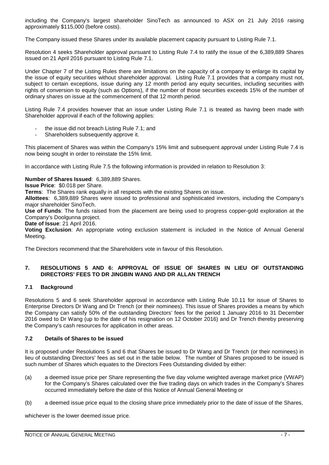including the Company's largest shareholder SinoTech as announced to ASX on 21 July 2016 raising approximately \$115,000 (before costs).

The Company issued these Shares under its available placement capacity pursuant to Listing Rule 7.1.

Resolution 4 seeks Shareholder approval pursuant to Listing Rule 7.4 to ratify the issue of the 6,389,889 Shares issued on 21 April 2016 pursuant to Listing Rule 7.1.

Under Chapter 7 of the Listing Rules there are limitations on the capacity of a company to enlarge its capital by the issue of equity securities without shareholder approval. Listing Rule 7.1 provides that a company must not, subject to certain exceptions, issue during any 12 month period any equity securities, including securities with rights of conversion to equity (such as Options), if the number of those securities exceeds 15% of the number of ordinary shares on issue at the commencement of that 12 month period.

Listing Rule 7.4 provides however that an issue under Listing Rule 7.1 is treated as having been made with Shareholder approval if each of the following applies:

- the issue did not breach Listing Rule 7.1; and
- Shareholders subsequently approve it.

This placement of Shares was within the Company's 15% limit and subsequent approval under Listing Rule 7.4 is now being sought in order to reinstate the 15% limit.

In accordance with Listing Rule 7.5 the following information is provided in relation to Resolution 3:

#### **Number of Shares Issued**: 6,389,889 Shares.

**Issue Price**: \$0.018 per Share.

**Terms**: The Shares rank equally in all respects with the existing Shares on issue.

**Allottees**: 6,389,889 Shares were issued to professional and sophisticated investors, including the Company's major shareholder SinoTech.

**Use of Funds**: The funds raised from the placement are being used to progress copper-gold exploration at the Company's Doolgunna project.

**Date of Issue**: 21 April 2016.

**Voting Exclusion**: An appropriate voting exclusion statement is included in the Notice of Annual General Meeting.

The Directors recommend that the Shareholders vote in favour of this Resolution.

## **7. RESOLUTIONS 5 AND 6: APPROVAL OF ISSUE OF SHARES IN LIEU OF OUTSTANDING DIRECTORS' FEES TO DR JINGBIN WANG AND DR ALLAN TRENCH**

## **7.1 Background**

Resolutions 5 and 6 seek Shareholder approval in accordance with Listing Rule 10.11 for issue of Shares to Enterprise Directors Dr Wang and Dr Trench (or their nominees). This issue of Shares provides a means by which the Company can satisfy 50% of the outstanding Directors' fees for the period 1 January 2016 to 31 December 2016 owed to Dr Wang (up to the date of his resignation on 12 October 2016) and Dr Trench thereby preserving the Company's cash resources for application in other areas.

## **7.2 Details of Shares to be issued**

It is proposed under Resolutions 5 and 6 that Shares be issued to Dr Wang and Dr Trench (or their nominees) in lieu of outstanding Directors' fees as set out in the table below. The number of Shares proposed to be issued is such number of Shares which equates to the Directors Fees Outstanding divided by either:

- (a) a deemed issue price per Share representing the five day volume weighted average market price (VWAP) for the Company's Shares calculated over the five trading days on which trades in the Company's Shares occurred immediately before the date of this Notice of Annual General Meeting or
- (b) a deemed issue price equal to the closing share price immediately prior to the date of issue of the Shares,

whichever is the lower deemed issue price.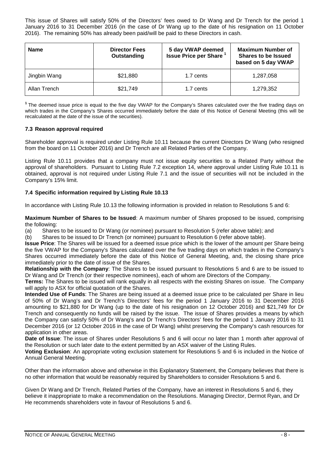This issue of Shares will satisfy 50% of the Directors' fees owed to Dr Wang and Dr Trench for the period 1 January 2016 to 31 December 2016 (in the case of Dr Wang up to the date of his resignation on 11 October 2016). The remaining 50% has already been paid/will be paid to these Directors in cash.

| <b>Name</b>  | <b>Director Fees</b><br>Outstanding | 5 day VWAP deemed<br><b>Issue Price per Share</b> | <b>Maximum Number of</b><br><b>Shares to be Issued</b><br>based on 5 day VWAP |
|--------------|-------------------------------------|---------------------------------------------------|-------------------------------------------------------------------------------|
| Jingbin Wang | \$21,880                            | 1.7 cents                                         | 1,287,058                                                                     |
| Allan Trench | \$21,749                            | 1.7 cents                                         | 1,279,352                                                                     |

**<sup>1</sup>**The deemed issue price is equal to the five day VWAP for the Company's Shares calculated over the five trading days on which trades in the Company's Shares occurred immediately before the date of this Notice of General Meeting (this will be recalculated at the date of the issue of the securities).

## **7.3 Reason approval required**

Shareholder approval is required under Listing Rule 10.11 because the current Directors Dr Wang (who resigned from the board on 11 October 2016) and Dr Trench are all Related Parties of the Company.

Listing Rule 10.11 provides that a company must not issue equity securities to a Related Party without the approval of shareholders. Pursuant to Listing Rule 7.2 exception 14, where approval under Listing Rule 10.11 is obtained, approval is not required under Listing Rule 7.1 and the issue of securities will not be included in the Company's 15% limit.

## **7.4 Specific information required by Listing Rule 10.13**

In accordance with Listing Rule 10.13 the following information is provided in relation to Resolutions 5 and 6:

**Maximum Number of Shares to be Issued**: A maximum number of Shares proposed to be issued, comprising the following:

(a) Shares to be issued to Dr Wang (or nominee) pursuant to Resolution 5 (refer above table); and

(b) Shares to be issued to Dr Trench (or nominee) pursuant to Resolution 6 (refer above table).

**Issue Price**: The Shares will be issued for a deemed issue price which is the lower of the amount per Share being the five VWAP for the Company's Shares calculated over the five trading days on which trades in the Company's Shares occurred immediately before the date of this Notice of General Meeting, and, the closing share price immediately prior to the date of issue of the Shares.

**Relationship with the Company**: The Shares to be issued pursuant to Resolutions 5 and 6 are to be issued to Dr Wang and Dr Trench (or their respective nominees), each of whom are Directors of the Company.

**Terms:** The Shares to be issued will rank equally in all respects with the existing Shares on issue. The Company will apply to ASX for official quotation of the Shares.

**Intended Use of Funds**: The Shares are being issued at a deemed issue price to be calculated per Share in lieu of 50% of Dr Wang's and Dr Trench's Directors' fees for the period 1 January 2016 to 31 December 2016 amounting to \$21,880 for Dr Wang (up to the date of his resignation on 12 October 2016) and \$21,749 for Dr Trench and consequently no funds will be raised by the issue. The issue of Shares provides a means by which the Company can satisfy 50% of Dr Wang's and Dr Trench's Directors' fees for the period 1 January 2016 to 31 December 2016 (or 12 October 2016 in the case of Dr Wang) whilst preserving the Company's cash resources for application in other areas.

**Date of Issue**: The issue of Shares under Resolutions 5 and 6 will occur no later than 1 month after approval of the Resolution or such later date to the extent permitted by an ASX waiver of the Listing Rules.

**Voting Exclusion**: An appropriate voting exclusion statement for Resolutions 5 and 6 is included in the Notice of Annual General Meeting.

Other than the information above and otherwise in this Explanatory Statement, the Company believes that there is no other information that would be reasonably required by Shareholders to consider Resolutions 5 and 6.

Given Dr Wang and Dr Trench, Related Parties of the Company, have an interest in Resolutions 5 and 6, they believe it inappropriate to make a recommendation on the Resolutions. Managing Director, Dermot Ryan, and Dr He recommends shareholders vote in favour of Resolutions 5 and 6.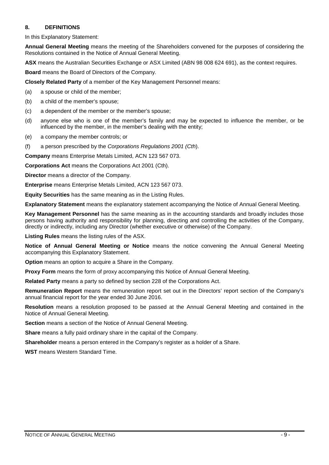## **8. DEFINITIONS**

In this Explanatory Statement:

**Annual General Meeting** means the meeting of the Shareholders convened for the purposes of considering the Resolutions contained in the Notice of Annual General Meeting.

**ASX** means the Australian Securities Exchange or ASX Limited (ABN 98 008 624 691), as the context requires.

**Board** means the Board of Directors of the Company.

**Closely Related Party** of a member of the Key Management Personnel means:

(a) a spouse or child of the member;

- (b) a child of the member's spouse;
- (c) a dependent of the member or the member's spouse;
- (d) anyone else who is one of the member's family and may be expected to influence the member, or be influenced by the member, in the member's dealing with the entity;
- (e) a company the member controls; or
- (f) a person prescribed by the *Corporations Regulations 2001 (Cth*).

**Company** means Enterprise Metals Limited, ACN 123 567 073.

**Corporations Act** means the Corporations Act 2001 (Cth).

**Director** means a director of the Company.

**Enterprise** means Enterprise Metals Limited, ACN 123 567 073.

**Equity Securities** has the same meaning as in the Listing Rules.

**Explanatory Statement** means the explanatory statement accompanying the Notice of Annual General Meeting.

**Key Management Personnel** has the same meaning as in the accounting standards and broadly includes those persons having authority and responsibility for planning, directing and controlling the activities of the Company, directly or indirectly, including any Director (whether executive or otherwise) of the Company.

**Listing Rules** means the listing rules of the ASX.

**Notice of Annual General Meeting or Notice** means the notice convening the Annual General Meeting accompanying this Explanatory Statement.

**Option** means an option to acquire a Share in the Company.

**Proxy Form** means the form of proxy accompanying this Notice of Annual General Meeting.

**Related Party** means a party so defined by section 228 of the Corporations Act.

**Remuneration Report** means the remuneration report set out in the Directors' report section of the Company's annual financial report for the year ended 30 June 2016.

**Resolution** means a resolution proposed to be passed at the Annual General Meeting and contained in the Notice of Annual General Meeting.

**Section** means a section of the Notice of Annual General Meeting.

**Share** means a fully paid ordinary share in the capital of the Company.

**Shareholder** means a person entered in the Company's register as a holder of a Share.

**WST** means Western Standard Time.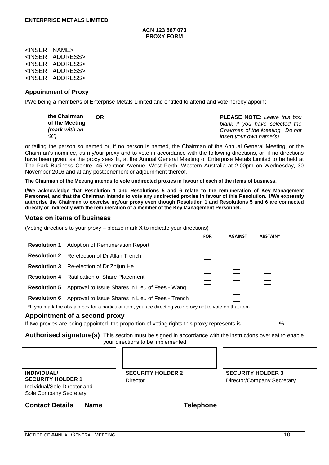<INSERT NAME> <INSERT ADDRESS> <INSERT ADDRESS> <INSERT ADDRESS> <INSERT ADDRESS>

## **Appointment of Proxy**

I/We being a member/s of Enterprise Metals Limited and entitled to attend and vote hereby appoint

| the Chairman<br>0R |  | <b>PLEASE NOTE:</b> Leave this box |
|--------------------|--|------------------------------------|
| of the Meeting     |  | blank if you have selected the     |
| (mark with an      |  | Chairman of the Meeting. Do not    |
| 'X'                |  | insert your own name(s).           |

or failing the person so named or, if no person is named, the Chairman of the Annual General Meeting, or the Chairman's nominee, as my/our proxy and to vote in accordance with the following directions, or, if no directions have been given, as the proxy sees fit, at the Annual General Meeting of Enterprise Metals Limited to be held at The Park Business Centre, 45 Ventnor Avenue, West Perth, Western Australia at 2.00pm on Wednesday, 30 November 2016 and at any postponement or adjournment thereof.

**The Chairman of the Meeting intends to vote undirected proxies in favour of each of the items of business.**

**I/We acknowledge that Resolution 1 and Resolutions 5 and 6 relate to the remuneration of Key Management Personnel, and that the Chairman intends to vote any undirected proxies in favour of this Resolution. I/We expressly authorise the Chairman to exercise my/our proxy even though Resolution 1 and Resolutions 5 and 6 are connected directly or indirectly with the remuneration of a member of the Key Management Personnel.**

# **Votes on items of business**

(Voting directions to your proxy – please mark **X** to indicate your directions)

|                                                                                                                                                  |                                                                                                                                                                 |                                                 | <b>FOR</b>                                             | <b>AGAINST</b> | ABSTAIN* |  |  |  |
|--------------------------------------------------------------------------------------------------------------------------------------------------|-----------------------------------------------------------------------------------------------------------------------------------------------------------------|-------------------------------------------------|--------------------------------------------------------|----------------|----------|--|--|--|
| <b>Resolution 1</b>                                                                                                                              | Adoption of Remuneration Report                                                                                                                                 |                                                 |                                                        |                |          |  |  |  |
|                                                                                                                                                  | <b>Resolution 2</b> Re-election of Dr Allan Trench                                                                                                              |                                                 |                                                        |                |          |  |  |  |
|                                                                                                                                                  | <b>Resolution 3</b> Re-election of Dr Zhijun He                                                                                                                 |                                                 |                                                        |                |          |  |  |  |
| <b>Resolution 4</b>                                                                                                                              | <b>Ratification of Share Placement</b>                                                                                                                          |                                                 |                                                        |                |          |  |  |  |
| <b>Resolution 5</b>                                                                                                                              |                                                                                                                                                                 | Approval to Issue Shares in Lieu of Fees - Wang |                                                        |                |          |  |  |  |
| <b>Resolution 6</b>                                                                                                                              | Approval to Issue Shares in Lieu of Fees - Trench<br>*If you mark the abstain box for a particular item, you are directing your proxy not to vote on that item. |                                                 |                                                        |                |          |  |  |  |
| Appointment of a second proxy<br>If two proxies are being appointed, the proportion of voting rights this proxy represents is<br>%.              |                                                                                                                                                                 |                                                 |                                                        |                |          |  |  |  |
| Authorised signature(s) This section must be signed in accordance with the instructions overleaf to enable<br>your directions to be implemented. |                                                                                                                                                                 |                                                 |                                                        |                |          |  |  |  |
|                                                                                                                                                  |                                                                                                                                                                 |                                                 |                                                        |                |          |  |  |  |
| <b>INDIVIDUAL/</b><br><b>SECURITY HOLDER 1</b><br>Individual/Sole Director and<br>Sole Company Secretary                                         |                                                                                                                                                                 | <b>SECURITY HOLDER 2</b><br><b>Director</b>     | <b>SECURITY HOLDER 3</b><br>Director/Company Secretary |                |          |  |  |  |
| <b>Contact Details</b>                                                                                                                           | <b>Name</b>                                                                                                                                                     |                                                 | Telephone                                              |                |          |  |  |  |